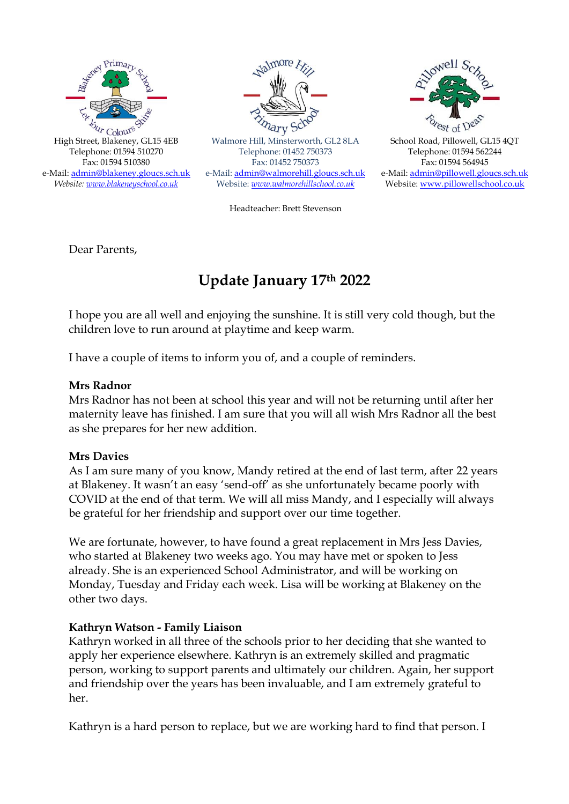



Walmore Hill, Minsterworth, GL2 8LA Telephone: 01452 750373 Fax: 01452 750373 e-Mail[: admin@walmorehill.gloucs.sch.uk](mailto:admin@walmorehill.gloucs.sch.uk) Website: *[www.walmorehillschool.co.uk](http://www.walmorehillschool.co.uk/)*



School Road, Pillowell, GL15 4QT Telephone: 01594 562244 Fax: 01594 564945 e-Mail: [admin@pillowell.gloucs.sch.uk](mailto:admin@pillowell.gloucs.sch.uk) Website[: www.pillowellschool.co.uk](http://www.pillowellschool.co.uk/)

Headteacher: Brett Stevenson

Dear Parents,

# **Update January 17th 2022**

I hope you are all well and enjoying the sunshine. It is still very cold though, but the children love to run around at playtime and keep warm.

I have a couple of items to inform you of, and a couple of reminders.

#### **Mrs Radnor**

Mrs Radnor has not been at school this year and will not be returning until after her maternity leave has finished. I am sure that you will all wish Mrs Radnor all the best as she prepares for her new addition.

#### **Mrs Davies**

As I am sure many of you know, Mandy retired at the end of last term, after 22 years at Blakeney. It wasn't an easy 'send-off' as she unfortunately became poorly with COVID at the end of that term. We will all miss Mandy, and I especially will always be grateful for her friendship and support over our time together.

We are fortunate, however, to have found a great replacement in Mrs Jess Davies, who started at Blakeney two weeks ago. You may have met or spoken to Jess already. She is an experienced School Administrator, and will be working on Monday, Tuesday and Friday each week. Lisa will be working at Blakeney on the other two days.

#### **Kathryn Watson - Family Liaison**

Kathryn worked in all three of the schools prior to her deciding that she wanted to apply her experience elsewhere. Kathryn is an extremely skilled and pragmatic person, working to support parents and ultimately our children. Again, her support and friendship over the years has been invaluable, and I am extremely grateful to her.

Kathryn is a hard person to replace, but we are working hard to find that person. I